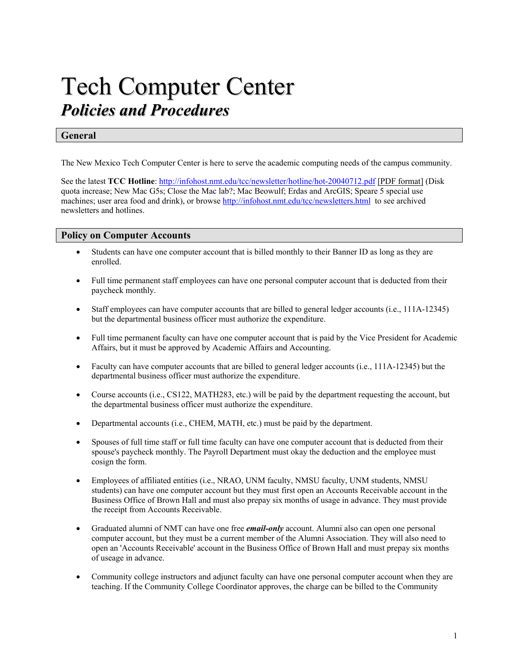# Tech Computer Center *Policies and Procedures*

# **General**

The New Mexico Tech Computer Center is here to serve the academic computing needs of the campus community.

See the latest **TCC Hotline**: <http://infohost.nmt.edu/tcc/newsletter/hotline/hot-20040712.pdf> [[PDF format\]](http://infohost.nmt.edu/tcc/newsletter/hotline/hot-20040712.pdf) (Disk quota increase; New Mac G5s; Close the Mac lab?; Mac Beowulf; Erdas and ArcGIS; Speare 5 special use machines; user area food and drink), or browse <http://infohost.nmt.edu/tcc/newsletters.html> to see archived newsletters and hotlines.

## **Policy on Computer Accounts**

- Students can have one computer account that is billed monthly to their Banner ID as long as they are enrolled.
- Full time permanent staff employees can have one personal computer account that is deducted from their paycheck monthly.
- Staff employees can have computer accounts that are billed to general ledger accounts (i.e., 111A-12345) but the departmental business officer must authorize the expenditure.
- Full time permanent faculty can have one computer account that is paid by the Vice President for Academic Affairs, but it must be approved by Academic Affairs and Accounting.
- Faculty can have computer accounts that are billed to general ledger accounts (i.e., 111A-12345) but the departmental business officer must authorize the expenditure.
- Course accounts (i.e., CS122, MATH283, etc.) will be paid by the department requesting the account, but the departmental business officer must authorize the expenditure.
- Departmental accounts (i.e., CHEM, MATH, etc.) must be paid by the department.
- Spouses of full time staff or full time faculty can have one computer account that is deducted from their spouse's paycheck monthly. The Payroll Department must okay the deduction and the employee must cosign the form.
- Employees of affiliated entities (i.e., NRAO, UNM faculty, NMSU faculty, UNM students, NMSU students) can have one computer account but they must first open an Accounts Receivable account in the Business Office of Brown Hall and must also prepay six months of usage in advance. They must provide the receipt from Accounts Receivable.
- Graduated alumni of NMT can have one free *email-only* account. Alumni also can open one personal computer account, but they must be a current member of the Alumni Association. They will also need to open an 'Accounts Receivable' account in the Business Office of Brown Hall and must prepay six months of useage in advance.
- Community college instructors and adjunct faculty can have one personal computer account when they are teaching. If the Community College Coordinator approves, the charge can be billed to the Community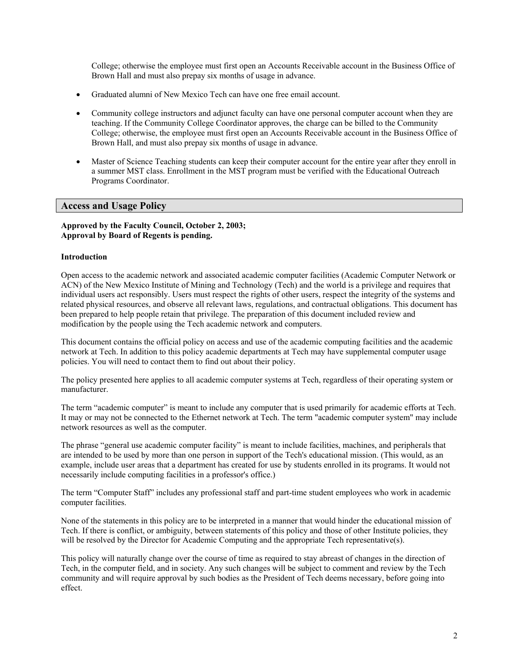College; otherwise the employee must first open an Accounts Receivable account in the Business Office of Brown Hall and must also prepay six months of usage in advance.

- Graduated alumni of New Mexico Tech can have one free email account.
- Community college instructors and adjunct faculty can have one personal computer account when they are teaching. If the Community College Coordinator approves, the charge can be billed to the Community College; otherwise, the employee must first open an Accounts Receivable account in the Business Office of Brown Hall, and must also prepay six months of usage in advance.
- Master of Science Teaching students can keep their computer account for the entire year after they enroll in a summer MST class. Enrollment in the MST program must be verified with the Educational Outreach Programs Coordinator.

# **Access and Usage Policy**

## **Approved by the Faculty Council, October 2, 2003; Approval by Board of Regents is pending.**

## **Introduction**

Open access to the academic network and associated academic computer facilities (Academic Computer Network or ACN) of the New Mexico Institute of Mining and Technology (Tech) and the world is a privilege and requires that individual users act responsibly. Users must respect the rights of other users, respect the integrity of the systems and related physical resources, and observe all relevant laws, regulations, and contractual obligations. This document has been prepared to help people retain that privilege. The preparation of this document included review and modification by the people using the Tech academic network and computers.

This document contains the official policy on access and use of the academic computing facilities and the academic network at Tech. In addition to this policy academic departments at Tech may have supplemental computer usage policies. You will need to contact them to find out about their policy.

The policy presented here applies to all academic computer systems at Tech, regardless of their operating system or manufacturer.

The term "academic computer" is meant to include any computer that is used primarily for academic efforts at Tech. It may or may not be connected to the Ethernet network at Tech. The term "academic computer system" may include network resources as well as the computer.

The phrase "general use academic computer facility" is meant to include facilities, machines, and peripherals that are intended to be used by more than one person in support of the Tech's educational mission. (This would, as an example, include user areas that a department has created for use by students enrolled in its programs. It would not necessarily include computing facilities in a professor's office.)

The term "Computer Staff" includes any professional staff and part-time student employees who work in academic computer facilities.

None of the statements in this policy are to be interpreted in a manner that would hinder the educational mission of Tech. If there is conflict, or ambiguity, between statements of this policy and those of other Institute policies, they will be resolved by the Director for Academic Computing and the appropriate Tech representative(s).

This policy will naturally change over the course of time as required to stay abreast of changes in the direction of Tech, in the computer field, and in society. Any such changes will be subject to comment and review by the Tech community and will require approval by such bodies as the President of Tech deems necessary, before going into effect.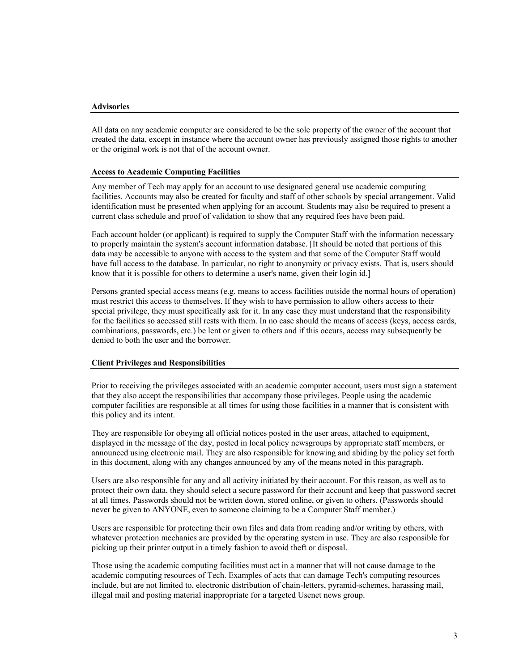#### **Advisories**

All data on any academic computer are considered to be the sole property of the owner of the account that created the data, except in instance where the account owner has previously assigned those rights to another or the original work is not that of the account owner.

#### **Access to Academic Computing Facilities**

Any member of Tech may apply for an account to use designated general use academic computing facilities. Accounts may also be created for faculty and staff of other schools by special arrangement. Valid identification must be presented when applying for an account. Students may also be required to present a current class schedule and proof of validation to show that any required fees have been paid.

Each account holder (or applicant) is required to supply the Computer Staff with the information necessary to properly maintain the system's account information database. [It should be noted that portions of this data may be accessible to anyone with access to the system and that some of the Computer Staff would have full access to the database. In particular, no right to anonymity or privacy exists. That is, users should know that it is possible for others to determine a user's name, given their login id.]

Persons granted special access means (e.g. means to access facilities outside the normal hours of operation) must restrict this access to themselves. If they wish to have permission to allow others access to their special privilege, they must specifically ask for it. In any case they must understand that the responsibility for the facilities so accessed still rests with them. In no case should the means of access (keys, access cards, combinations, passwords, etc.) be lent or given to others and if this occurs, access may subsequently be denied to both the user and the borrower.

## **Client Privileges and Responsibilities**

Prior to receiving the privileges associated with an academic computer account, users must sign a statement that they also accept the responsibilities that accompany those privileges. People using the academic computer facilities are responsible at all times for using those facilities in a manner that is consistent with this policy and its intent.

They are responsible for obeying all official notices posted in the user areas, attached to equipment, displayed in the message of the day, posted in local policy newsgroups by appropriate staff members, or announced using electronic mail. They are also responsible for knowing and abiding by the policy set forth in this document, along with any changes announced by any of the means noted in this paragraph.

Users are also responsible for any and all activity initiated by their account. For this reason, as well as to protect their own data, they should select a secure password for their account and keep that password secret at all times. Passwords should not be written down, stored online, or given to others. (Passwords should never be given to ANYONE, even to someone claiming to be a Computer Staff member.)

Users are responsible for protecting their own files and data from reading and/or writing by others, with whatever protection mechanics are provided by the operating system in use. They are also responsible for picking up their printer output in a timely fashion to avoid theft or disposal.

Those using the academic computing facilities must act in a manner that will not cause damage to the academic computing resources of Tech. Examples of acts that can damage Tech's computing resources include, but are not limited to, electronic distribution of chain-letters, pyramid-schemes, harassing mail, illegal mail and posting material inappropriate for a targeted Usenet news group.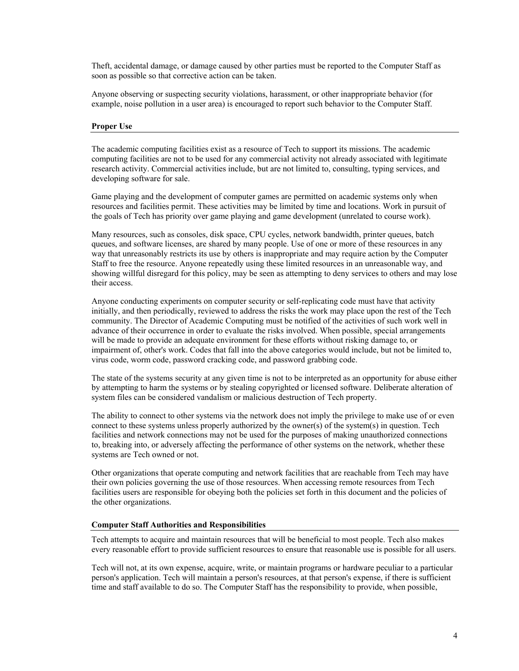Theft, accidental damage, or damage caused by other parties must be reported to the Computer Staff as soon as possible so that corrective action can be taken.

Anyone observing or suspecting security violations, harassment, or other inappropriate behavior (for example, noise pollution in a user area) is encouraged to report such behavior to the Computer Staff.

## **Proper Use**

The academic computing facilities exist as a resource of Tech to support its missions. The academic computing facilities are not to be used for any commercial activity not already associated with legitimate research activity. Commercial activities include, but are not limited to, consulting, typing services, and developing software for sale.

Game playing and the development of computer games are permitted on academic systems only when resources and facilities permit. These activities may be limited by time and locations. Work in pursuit of the goals of Tech has priority over game playing and game development (unrelated to course work).

Many resources, such as consoles, disk space, CPU cycles, network bandwidth, printer queues, batch queues, and software licenses, are shared by many people. Use of one or more of these resources in any way that unreasonably restricts its use by others is inappropriate and may require action by the Computer Staff to free the resource. Anyone repeatedly using these limited resources in an unreasonable way, and showing willful disregard for this policy, may be seen as attempting to deny services to others and may lose their access.

Anyone conducting experiments on computer security or self-replicating code must have that activity initially, and then periodically, reviewed to address the risks the work may place upon the rest of the Tech community. The Director of Academic Computing must be notified of the activities of such work well in advance of their occurrence in order to evaluate the risks involved. When possible, special arrangements will be made to provide an adequate environment for these efforts without risking damage to, or impairment of, other's work. Codes that fall into the above categories would include, but not be limited to, virus code, worm code, password cracking code, and password grabbing code.

The state of the systems security at any given time is not to be interpreted as an opportunity for abuse either by attempting to harm the systems or by stealing copyrighted or licensed software. Deliberate alteration of system files can be considered vandalism or malicious destruction of Tech property.

The ability to connect to other systems via the network does not imply the privilege to make use of or even connect to these systems unless properly authorized by the owner(s) of the system(s) in question. Tech facilities and network connections may not be used for the purposes of making unauthorized connections to, breaking into, or adversely affecting the performance of other systems on the network, whether these systems are Tech owned or not.

Other organizations that operate computing and network facilities that are reachable from Tech may have their own policies governing the use of those resources. When accessing remote resources from Tech facilities users are responsible for obeying both the policies set forth in this document and the policies of the other organizations.

## **Computer Staff Authorities and Responsibilities**

Tech attempts to acquire and maintain resources that will be beneficial to most people. Tech also makes every reasonable effort to provide sufficient resources to ensure that reasonable use is possible for all users.

Tech will not, at its own expense, acquire, write, or maintain programs or hardware peculiar to a particular person's application. Tech will maintain a person's resources, at that person's expense, if there is sufficient time and staff available to do so. The Computer Staff has the responsibility to provide, when possible,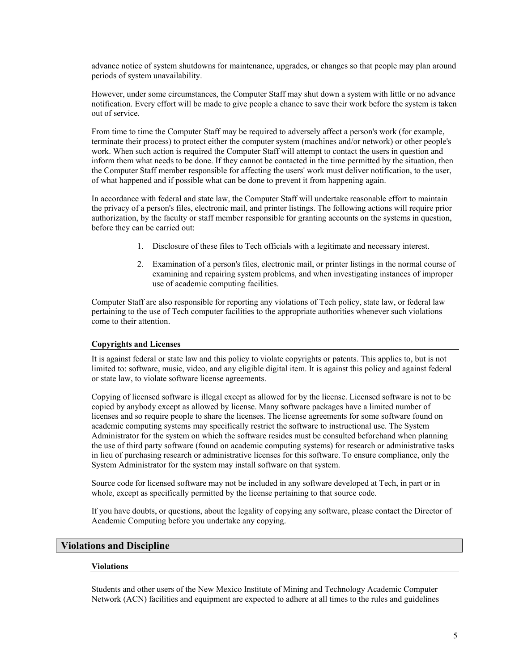advance notice of system shutdowns for maintenance, upgrades, or changes so that people may plan around periods of system unavailability.

However, under some circumstances, the Computer Staff may shut down a system with little or no advance notification. Every effort will be made to give people a chance to save their work before the system is taken out of service.

From time to time the Computer Staff may be required to adversely affect a person's work (for example, terminate their process) to protect either the computer system (machines and/or network) or other people's work. When such action is required the Computer Staff will attempt to contact the users in question and inform them what needs to be done. If they cannot be contacted in the time permitted by the situation, then the Computer Staff member responsible for affecting the users' work must deliver notification, to the user, of what happened and if possible what can be done to prevent it from happening again.

In accordance with federal and state law, the Computer Staff will undertake reasonable effort to maintain the privacy of a person's files, electronic mail, and printer listings. The following actions will require prior authorization, by the faculty or staff member responsible for granting accounts on the systems in question, before they can be carried out:

- 1. Disclosure of these files to Tech officials with a legitimate and necessary interest.
- 2. Examination of a person's files, electronic mail, or printer listings in the normal course of examining and repairing system problems, and when investigating instances of improper use of academic computing facilities.

Computer Staff are also responsible for reporting any violations of Tech policy, state law, or federal law pertaining to the use of Tech computer facilities to the appropriate authorities whenever such violations come to their attention.

## **Copyrights and Licenses**

It is against federal or state law and this policy to violate copyrights or patents. This applies to, but is not limited to: software, music, video, and any eligible digital item. It is against this policy and against federal or state law, to violate software license agreements.

Copying of licensed software is illegal except as allowed for by the license. Licensed software is not to be copied by anybody except as allowed by license. Many software packages have a limited number of licenses and so require people to share the licenses. The license agreements for some software found on academic computing systems may specifically restrict the software to instructional use. The System Administrator for the system on which the software resides must be consulted beforehand when planning the use of third party software (found on academic computing systems) for research or administrative tasks in lieu of purchasing research or administrative licenses for this software. To ensure compliance, only the System Administrator for the system may install software on that system.

Source code for licensed software may not be included in any software developed at Tech, in part or in whole, except as specifically permitted by the license pertaining to that source code.

If you have doubts, or questions, about the legality of copying any software, please contact the Director of Academic Computing before you undertake any copying.

## **Violations and Discipline**

## **Violations**

Students and other users of the New Mexico Institute of Mining and Technology Academic Computer Network (ACN) facilities and equipment are expected to adhere at all times to the rules and guidelines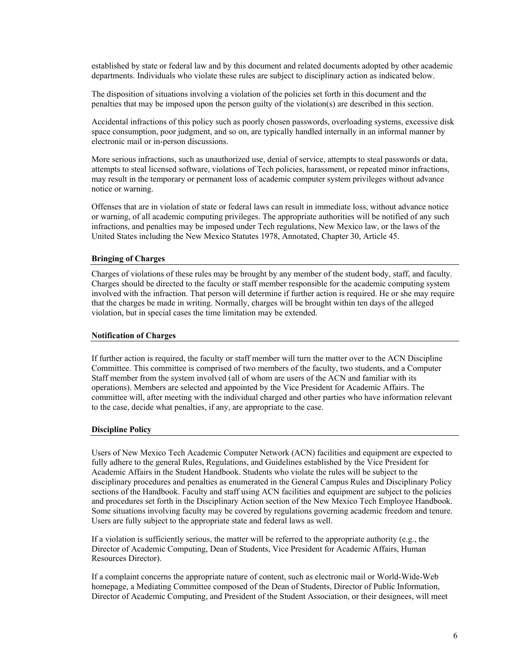established by state or federal law and by this document and related documents adopted by other academic departments. Individuals who violate these rules are subject to disciplinary action as indicated below.

The disposition of situations involving a violation of the policies set forth in this document and the penalties that may be imposed upon the person guilty of the violation(s) are described in this section.

Accidental infractions of this policy such as poorly chosen passwords, overloading systems, excessive disk space consumption, poor judgment, and so on, are typically handled internally in an informal manner by electronic mail or in-person discussions.

More serious infractions, such as unauthorized use, denial of service, attempts to steal passwords or data, attempts to steal licensed software, violations of Tech policies, harassment, or repeated minor infractions, may result in the temporary or permanent loss of academic computer system privileges without advance notice or warning.

Offenses that are in violation of state or federal laws can result in immediate loss, without advance notice or warning, of all academic computing privileges. The appropriate authorities will be notified of any such infractions, and penalties may be imposed under Tech regulations, New Mexico law, or the laws of the United States including the New Mexico Statutes 1978, Annotated, Chapter 30, Article 45.

## **Bringing of Charges**

Charges of violations of these rules may be brought by any member of the student body, staff, and faculty. Charges should be directed to the faculty or staff member responsible for the academic computing system involved with the infraction. That person will determine if further action is required. He or she may require that the charges be made in writing. Normally, charges will be brought within ten days of the alleged violation, but in special cases the time limitation may be extended.

## **Notification of Charges**

If further action is required, the faculty or staff member will turn the matter over to the ACN Discipline Committee. This committee is comprised of two members of the faculty, two students, and a Computer Staff member from the system involved (all of whom are users of the ACN and familiar with its operations). Members are selected and appointed by the Vice President for Academic Affairs. The committee will, after meeting with the individual charged and other parties who have information relevant to the case, decide what penalties, if any, are appropriate to the case.

## **Discipline Policy**

Users of New Mexico Tech Academic Computer Network (ACN) facilities and equipment are expected to fully adhere to the general Rules, Regulations, and Guidelines established by the Vice President for Academic Affairs in the Student Handbook. Students who violate the rules will be subject to the disciplinary procedures and penalties as enumerated in the General Campus Rules and Disciplinary Policy sections of the Handbook. Faculty and staff using ACN facilities and equipment are subject to the policies and procedures set forth in the Disciplinary Action section of the New Mexico Tech Employee Handbook. Some situations involving faculty may be covered by regulations governing academic freedom and tenure. Users are fully subject to the appropriate state and federal laws as well.

If a violation is sufficiently serious, the matter will be referred to the appropriate authority (e.g., the Director of Academic Computing, Dean of Students, Vice President for Academic Affairs, Human Resources Director).

If a complaint concerns the appropriate nature of content, such as electronic mail or World-Wide-Web homepage, a Mediating Committee composed of the Dean of Students, Director of Public Information, Director of Academic Computing, and President of the Student Association, or their designees, will meet